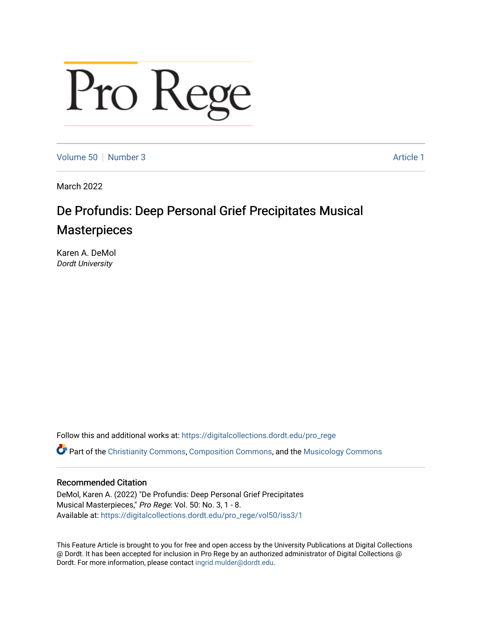# Pro Rege

[Volume 50](https://digitalcollections.dordt.edu/pro_rege/vol50) [Number 3](https://digitalcollections.dordt.edu/pro_rege/vol50/iss3) Article 1

March 2022

### De Profundis: Deep Personal Grief Precipitates Musical **Masterpieces**

Karen A. DeMol Dordt University

Follow this and additional works at: [https://digitalcollections.dordt.edu/pro\\_rege](https://digitalcollections.dordt.edu/pro_rege?utm_source=digitalcollections.dordt.edu%2Fpro_rege%2Fvol50%2Fiss3%2F1&utm_medium=PDF&utm_campaign=PDFCoverPages) 

Part of the [Christianity Commons,](http://network.bepress.com/hgg/discipline/1181?utm_source=digitalcollections.dordt.edu%2Fpro_rege%2Fvol50%2Fiss3%2F1&utm_medium=PDF&utm_campaign=PDFCoverPages) [Composition Commons,](http://network.bepress.com/hgg/discipline/519?utm_source=digitalcollections.dordt.edu%2Fpro_rege%2Fvol50%2Fiss3%2F1&utm_medium=PDF&utm_campaign=PDFCoverPages) and the [Musicology Commons](http://network.bepress.com/hgg/discipline/521?utm_source=digitalcollections.dordt.edu%2Fpro_rege%2Fvol50%2Fiss3%2F1&utm_medium=PDF&utm_campaign=PDFCoverPages) 

#### Recommended Citation

DeMol, Karen A. (2022) "De Profundis: Deep Personal Grief Precipitates Musical Masterpieces," Pro Rege: Vol. 50: No. 3, 1 - 8. Available at: [https://digitalcollections.dordt.edu/pro\\_rege/vol50/iss3/1](https://digitalcollections.dordt.edu/pro_rege/vol50/iss3/1?utm_source=digitalcollections.dordt.edu%2Fpro_rege%2Fvol50%2Fiss3%2F1&utm_medium=PDF&utm_campaign=PDFCoverPages) 

This Feature Article is brought to you for free and open access by the University Publications at Digital Collections @ Dordt. It has been accepted for inclusion in Pro Rege by an authorized administrator of Digital Collections @ Dordt. For more information, please contact [ingrid.mulder@dordt.edu.](mailto:ingrid.mulder@dordt.edu)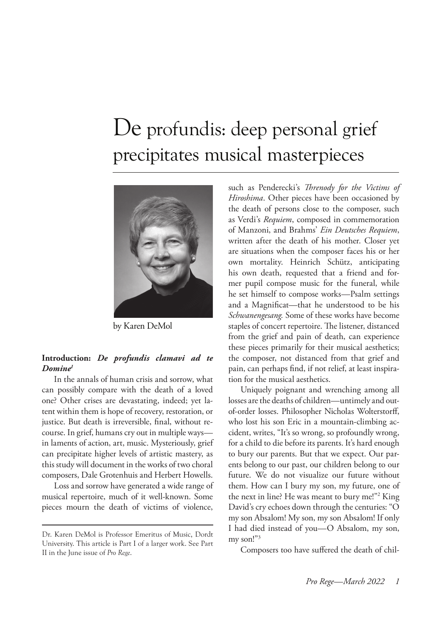## De profundis: deep personal grief precipitates musical masterpieces



by Karen DeMol

#### **Introduction:** *De profundis clamavi ad te Domine1*

In the annals of human crisis and sorrow, what can possibly compare with the death of a loved one? Other crises are devastating, indeed; yet latent within them is hope of recovery, restoration, or justice. But death is irreversible, final, without recourse. In grief, humans cry out in multiple ways in laments of action, art, music. Mysteriously, grief can precipitate higher levels of artistic mastery, as this study will document in the works of two choral composers, Dale Grotenhuis and Herbert Howells.

Loss and sorrow have generated a wide range of musical repertoire, much of it well-known. Some pieces mourn the death of victims of violence,

such as Penderecki's *Threnody for the Victims of Hiroshima*. Other pieces have been occasioned by the death of persons close to the composer, such as Verdi's *Requiem*, composed in commemoration of Manzoni, and Brahms' *Ein Deutsches Requiem*, written after the death of his mother. Closer yet are situations when the composer faces his or her own mortality. Heinrich Schütz, anticipating his own death, requested that a friend and former pupil compose music for the funeral, while he set himself to compose works—Psalm settings and a Magnificat—that he understood to be his *Schwanengesang.* Some of these works have become staples of concert repertoire. The listener, distanced from the grief and pain of death, can experience these pieces primarily for their musical aesthetics; the composer, not distanced from that grief and pain, can perhaps find, if not relief, at least inspiration for the musical aesthetics.

Uniquely poignant and wrenching among all losses are the deaths of children—untimely and outof-order losses. Philosopher Nicholas Wolterstorff, who lost his son Eric in a mountain-climbing accident, writes, "It's so wrong, so profoundly wrong, for a child to die before its parents. It's hard enough to bury our parents. But that we expect. Our parents belong to our past, our children belong to our future. We do not visualize our future without them. How can I bury my son, my future, one of the next in line? He was meant to bury me!"2 King David's cry echoes down through the centuries: "O my son Absalom! My son, my son Absalom! If only I had died instead of you—O Absalom, my son, my son!"<sup>3</sup>

Composers too have suffered the death of chil-

Dr. Karen DeMol is Professor Emeritus of Music, Dordt University. This article is Part I of a larger work. See Part II in the June issue of *Pro Rege*.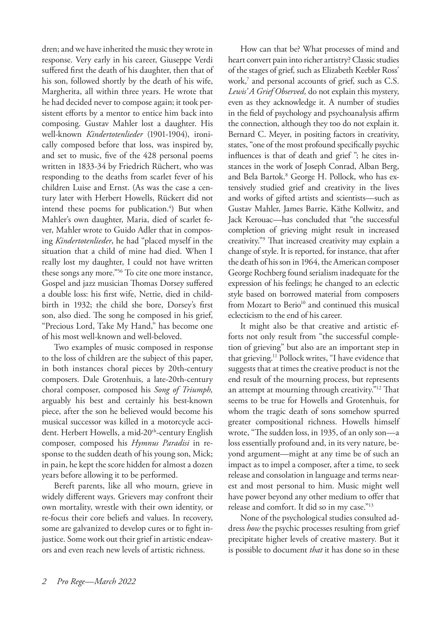dren; and we have inherited the music they wrote in response. Very early in his career, Giuseppe Verdi suffered first the death of his daughter, then that of his son, followed shortly by the death of his wife, Margherita, all within three years. He wrote that he had decided never to compose again; it took persistent efforts by a mentor to entice him back into composing. Gustav Mahler lost a daughter. His well-known *Kindertotenlieder* (1901-1904), ironically composed before that loss, was inspired by, and set to music, five of the 428 personal poems written in 1833-34 by Friedrich Rüchert, who was responding to the deaths from scarlet fever of his children Luise and Ernst. (As was the case a century later with Herbert Howells, Rückert did not intend these poems for publication.<sup>4</sup>) But when Mahler's own daughter, Maria, died of scarlet fever, Mahler wrote to Guido Adler that in composing *Kindertotenlieder*, he had "placed myself in the situation that a child of mine had died. When I really lost my daughter, I could not have written these songs any more."56 To cite one more instance, Gospel and jazz musician Thomas Dorsey suffered a double loss: his first wife, Nettie, died in childbirth in 1932; the child she bore, Dorsey's first son, also died. The song he composed in his grief, "Precious Lord, Take My Hand," has become one of his most well-known and well-beloved.

Two examples of music composed in response to the loss of children are the subject of this paper, in both instances choral pieces by 20th-century composers. Dale Grotenhuis, a late-20th-century choral composer, composed his *Song of Triumph,*  arguably his best and certainly his best-known piece, after the son he believed would become his musical successor was killed in a motorcycle accident. Herbert Howells, a mid-20<sup>th</sup>-century English composer, composed his *Hymnus Paradisi* in response to the sudden death of his young son, Mick; in pain, he kept the score hidden for almost a dozen years before allowing it to be performed.

Bereft parents, like all who mourn, grieve in widely different ways. Grievers may confront their own mortality, wrestle with their own identity, or re-focus their core beliefs and values. In recovery, some are galvanized to develop cures or to fight injustice. Some work out their grief in artistic endeavors and even reach new levels of artistic richness.

How can that be? What processes of mind and heart convert pain into richer artistry? Classic studies of the stages of grief, such as Elizabeth Keebler Ross' work,<sup>7</sup> and personal accounts of grief, such as C.S. *Lewis' A Grief Observed,* do not explain this mystery, even as they acknowledge it. A number of studies in the field of psychology and psychoanalysis affirm the connection, although they too do not explain it. Bernard C. Meyer, in positing factors in creativity, states, "one of the most profound specifically psychic influences is that of death and grief "; he cites instances in the work of Joseph Conrad, Alban Berg, and Bela Bartok.8 George H. Pollock, who has extensively studied grief and creativity in the lives and works of gifted artists and scientists—such as Gustav Mahler, James Barrie, Käthe Kollwitz, and Jack Kerouac—has concluded that "the successful completion of grieving might result in increased creativity."9 That increased creativity may explain a change of style. It is reported, for instance, that after the death of his son in 1964, the American composer George Rochberg found serialism inadequate for the expression of his feelings; he changed to an eclectic style based on borrowed material from composers from Mozart to Berio<sup>10</sup> and continued this musical eclecticism to the end of his career.

It might also be that creative and artistic efforts not only result from "the successful completion of grieving" but also are an important step in that grieving.<sup>11</sup> Pollock writes, "I have evidence that suggests that at times the creative product is not the end result of the mourning process, but represents an attempt at mourning through creativity."12 That seems to be true for Howells and Grotenhuis, for whom the tragic death of sons somehow spurred greater compositional richness. Howells himself wrote, "The sudden loss, in 1935, of an only son—a loss essentially profound and, in its very nature, beyond argument—might at any time be of such an impact as to impel a composer, after a time, to seek release and consolation in language and terms nearest and most personal to him. Music might well have power beyond any other medium to offer that release and comfort. It did so in my case."13

None of the psychological studies consulted address *how* the psychic processes resulting from grief precipitate higher levels of creative mastery. But it is possible to document *that* it has done so in these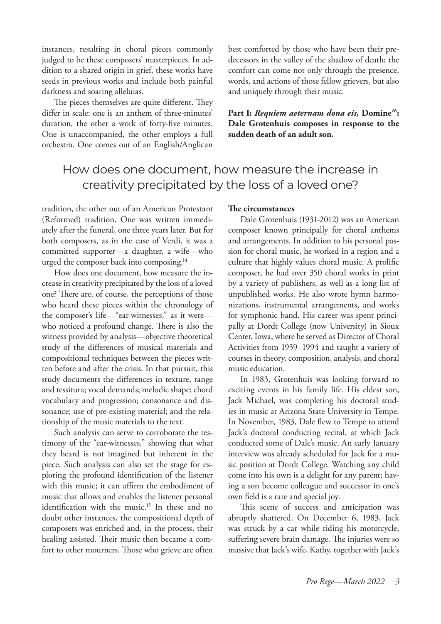instances, resulting in choral pieces commonly judged to be these composers' masterpieces. In addition to a shared origin in grief, these works have seeds in previous works and include both painful darkness and soaring alleluias.

The pieces themselves are quite different. They differ in scale: one is an anthem of three-minutes' duration, the other a work of forty-five minutes. One is unaccompanied, the other employs a full orchestra. One comes out of an English/Anglican best comforted by those who have been their predecessors in the valley of the shadow of death; the comfort can come not only through the presence, words, and actions of those fellow grievers, but also and uniquely through their music.

**Part I:** *Requiem aeternam dona eis,* **Domine***<sup>16</sup>***: Dale Grotenhuis composes in response to the sudden death of an adult son.**

#### How does one document, how measure the increase in creativity precipitated by the loss of a loved one?

tradition, the other out of an American Protestant (Reformed) tradition. One was written immediately after the funeral, one three years later. But for both composers, as in the case of Verdi, it was a committed supporter—a daughter, a wife—who urged the composer back into composing.14

How does one document, how measure the increase in creativity precipitated by the loss of a loved one? There are, of course, the perceptions of those who heard these pieces within the chronology of the composer's life—"ear-witnesses," as it were who noticed a profound change. There is also the witness provided by analysis—objective theoretical study of the differences of musical materials and compositional techniques between the pieces written before and after the crisis. In that pursuit, this study documents the differences in texture, range and tessitura; vocal demands; melodic shape; chord vocabulary and progression; consonance and dissonance; use of pre-existing material; and the relationship of the music materials to the text.

Such analysis can serve to corroborate the testimony of the "ear-witnesses," showing that what they heard is not imagined but inherent in the piece. Such analysis can also set the stage for exploring the profound identification of the listener with this music; it can affirm the embodiment of music that allows and enables the listener personal identification with the music.<sup>15</sup> In these and no doubt other instances, the compositional depth of composers was enriched and, in the process, their healing assisted. Their music then became a comfort to other mourners. Those who grieve are often

#### **The circumstances**

Dale Grotenhuis (1931-2012) was an American composer known principally for choral anthems and arrangements. In addition to his personal passion for choral music, he worked in a region and a culture that highly values choral music. A prolific composer, he had over 350 choral works in print by a variety of publishers, as well as a long list of unpublished works. He also wrote hymn harmonizations, instrumental arrangements, and works for symphonic band. His career was spent principally at Dordt College (now University) in Sioux Center, Iowa, where he served as Director of Choral Activities from 1959–1994 and taught a variety of courses in theory, composition, analysis, and choral music education.

In 1983, Grotenhuis was looking forward to exciting events in his family life. His eldest son, Jack Michael, was completing his doctoral studies in music at Arizona State University in Tempe. In November, 1983, Dale flew to Tempe to attend Jack's doctoral conducting recital, at which Jack conducted some of Dale's music. An early January interview was already scheduled for Jack for a music position at Dordt College. Watching any child come into his own is a delight for any parent; having a son become colleague and successor in one's own field is a rare and special joy.

This scene of success and anticipation was abruptly shattered. On December 6, 1983, Jack was struck by a car while riding his motorcycle, suffering severe brain damage. The injuries were so massive that Jack's wife, Kathy, together with Jack's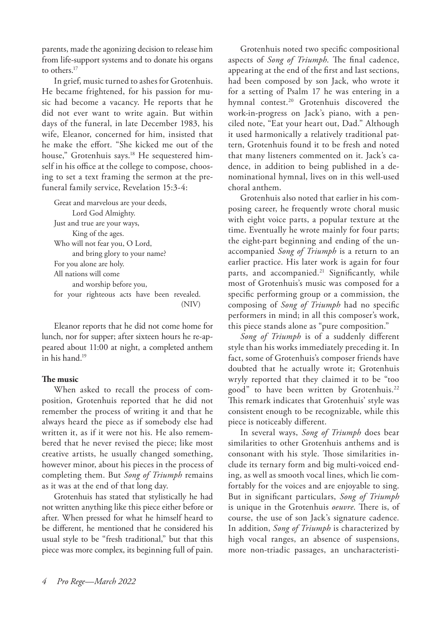parents, made the agonizing decision to release him from life-support systems and to donate his organs to others.17

In grief, music turned to ashes for Grotenhuis. He became frightened, for his passion for music had become a vacancy. He reports that he did not ever want to write again. But within days of the funeral, in late December 1983, his wife, Eleanor, concerned for him, insisted that he make the effort. "She kicked me out of the house," Grotenhuis says.<sup>18</sup> He sequestered himself in his office at the college to compose, choosing to set a text framing the sermon at the prefuneral family service, Revelation 15:3-4:

Great and marvelous are your deeds, Lord God Almighty. Just and true are your ways, King of the ages. Who will not fear you, O Lord, and bring glory to your name? For you alone are holy. All nations will come and worship before you, for your righteous acts have been revealed. (NIV)

Eleanor reports that he did not come home for lunch, nor for supper; after sixteen hours he re-appeared about 11:00 at night, a completed anthem in his hand.<sup>19</sup>

#### **The music**

When asked to recall the process of composition, Grotenhuis reported that he did not remember the process of writing it and that he always heard the piece as if somebody else had written it, as if it were not his. He also remembered that he never revised the piece; like most creative artists, he usually changed something, however minor, about his pieces in the process of completing them. But *Song of Triumph* remains as it was at the end of that long day.

Grotenhuis has stated that stylistically he had not written anything like this piece either before or after. When pressed for what he himself heard to be different, he mentioned that he considered his usual style to be "fresh traditional," but that this piece was more complex, its beginning full of pain.

Grotenhuis noted two specific compositional aspects of *Song of Triumph*. The final cadence, appearing at the end of the first and last sections, had been composed by son Jack, who wrote it for a setting of Psalm 17 he was entering in a hymnal contest.<sup>20</sup> Grotenhuis discovered the work-in-progress on Jack's piano, with a penciled note, "Eat your heart out, Dad." Although it used harmonically a relatively traditional pattern, Grotenhuis found it to be fresh and noted that many listeners commented on it. Jack's cadence, in addition to being published in a denominational hymnal, lives on in this well-used choral anthem.

Grotenhuis also noted that earlier in his composing career, he frequently wrote choral music with eight voice parts, a popular texture at the time. Eventually he wrote mainly for four parts; the eight-part beginning and ending of the unaccompanied *Song of Triumph* is a return to an earlier practice. His later work is again for four parts, and accompanied.<sup>21</sup> Significantly, while most of Grotenhuis's music was composed for a specific performing group or a commission, the composing of *Song of Triumph* had no specific performers in mind; in all this composer's work, this piece stands alone as "pure composition."

*Song of Triumph* is of a suddenly different style than his works immediately preceding it. In fact, some of Grotenhuis's composer friends have doubted that he actually wrote it; Grotenhuis wryly reported that they claimed it to be "too good" to have been written by Grotenhuis.<sup>22</sup> This remark indicates that Grotenhuis' style was consistent enough to be recognizable, while this piece is noticeably different.

In several ways, *Song of Triumph* does bear similarities to other Grotenhuis anthems and is consonant with his style. Those similarities include its ternary form and big multi-voiced ending, as well as smooth vocal lines, which lie comfortably for the voices and are enjoyable to sing. But in significant particulars, *Song of Triumph* is unique in the Grotenhuis *oeuvre*. There is, of course, the use of son Jack's signature cadence. In addition, *Song of Triumph* is characterized by high vocal ranges, an absence of suspensions, more non-triadic passages, an uncharacteristi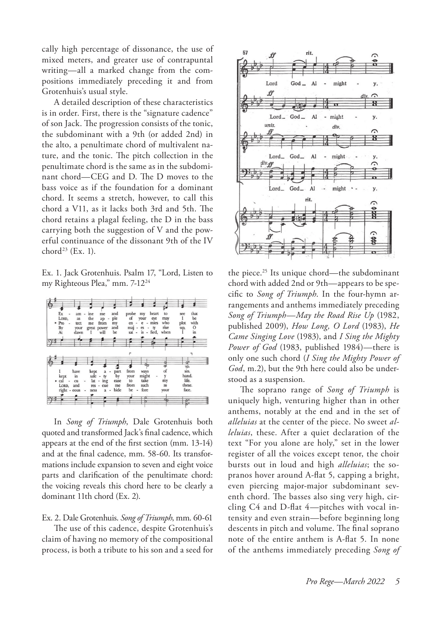cally high percentage of dissonance, the use of mixed meters, and greater use of contrapuntal writing—all a marked change from the compositions immediately preceding it and from Grotenhuis's usual style.

A detailed description of these characteristics is in order. First, there is the "signature cadence" of son Jack. The progression consists of the tonic, the subdominant with a 9th (or added 2nd) in the alto, a penultimate chord of multivalent nature, and the tonic. The pitch collection in the penultimate chord is the same as in the subdominant chord—CEG and D. The D moves to the bass voice as if the foundation for a dominant chord. It seems a stretch, however, to call this chord a V11, as it lacks both 3rd and 5th. The chord retains a plagal feeling, the D in the bass carrying both the suggestion of V and the powerful continuance of the dissonant 9th of the IV chord<sup>23</sup> (Ex. 1).

Ex. 1. Jack Grotenhuis. Psalm 17, "Lord, Listen to my Righteous Plea," mm. 7-1224



In *Song of Triumph*, Dale Grotenhuis both quoted and transformed Jack's final cadence, which appears at the end of the first section (mm. 13-14) and at the final cadence, mm. 58-60. Its transformations include expansion to seven and eight voice parts and clarification of the penultimate chord: the voicing reveals this chord here to be clearly a dominant 11th chord (Ex. 2).

#### Ex. 2. Dale Grotenhuis. *Song of Triumph*, mm. 60-61

The use of this cadence, despite Grotenhuis's claim of having no memory of the compositional process, is both a tribute to his son and a seed for



the piece.<sup>25</sup> Its unique chord—the subdominant chord with added 2nd or 9th—appears to be specific to *Song of Triumph*. In the four-hymn arrangements and anthems immediately preceding *Song of Triumph*—*May the Road Rise Up* (1982, published 2009), *How Long, O Lord* (1983), *He Came Singing Love* (1983), and *I Sing the Mighty Power of God* (1983, published 1984)—there is only one such chord (*I Sing the Mighty Power of God*, m.2), but the 9th here could also be understood as a suspension.

The soprano range of *Song of Triumph* is uniquely high, venturing higher than in other anthems, notably at the end and in the set of *alleluias* at the center of the piece. No sweet *alleluias*, these. After a quiet declaration of the text "For you alone are holy," set in the lower register of all the voices except tenor, the choir bursts out in loud and high *alleluias*; the sopranos hover around A-flat 5, capping a bright, even piercing major-major subdominant seventh chord. The basses also sing very high, circling C4 and D-flat 4—pitches with vocal intensity and even strain—before beginning long descents in pitch and volume. The final soprano note of the entire anthem is A-flat 5. In none of the anthems immediately preceding *Song of*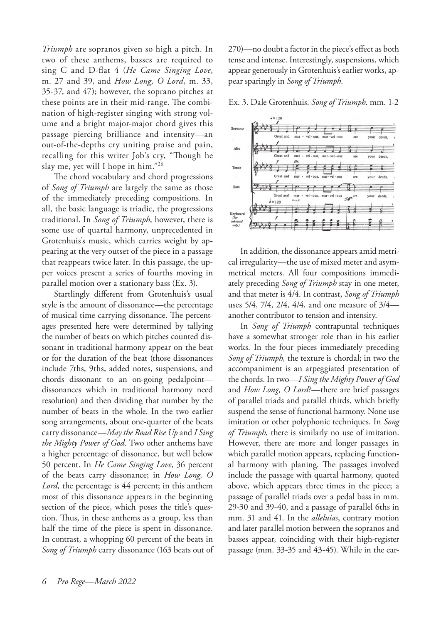*Triumph* are sopranos given so high a pitch. In two of these anthems, basses are required to sing C and D-flat 4 (*He Came Singing Love*, m. 27 and 39, and *How Long, O Lord*, m. 33, 35-37, and 47); however, the soprano pitches at these points are in their mid-range. The combination of high-register singing with strong volume and a bright major-major chord gives this passage piercing brilliance and intensity—an out-of-the-depths cry uniting praise and pain, recalling for this writer Job's cry, "Though he slay me, yet will I hope in him."26

The chord vocabulary and chord progressions of *Song of Triumph* are largely the same as those of the immediately preceding compositions. In all, the basic language is triadic, the progressions traditional. In *Song of Triumph*, however, there is some use of quartal harmony, unprecedented in Grotenhuis's music, which carries weight by appearing at the very outset of the piece in a passage that reappears twice later. In this passage, the upper voices present a series of fourths moving in parallel motion over a stationary bass (Ex. 3).

Startlingly different from Grotenhuis's usual style is the amount of dissonance—the percentage of musical time carrying dissonance. The percentages presented here were determined by tallying the number of beats on which pitches counted dissonant in traditional harmony appear on the beat or for the duration of the beat (those dissonances include 7ths, 9ths, added notes, suspensions, and chords dissonant to an on-going pedalpoint dissonances which in traditional harmony need resolution) and then dividing that number by the number of beats in the whole. In the two earlier song arrangements, about one-quarter of the beats carry dissonance—*May the Road Rise Up* and *I Sing the Mighty Power of God*. Two other anthems have a higher percentage of dissonance, but well below 50 percent. In *He Came Singing Love*, 36 percent of the beats carry dissonance; in *How Long, O Lord,* the percentage is 44 percent; in this anthem most of this dissonance appears in the beginning section of the piece, which poses the title's question. Thus, in these anthems as a group, less than half the time of the piece is spent in dissonance. In contrast, a whopping 60 percent of the beats in *Song of Triumph* carry dissonance (163 beats out of 270)—no doubt a factor in the piece's effect as both tense and intense. Interestingly, suspensions, which appear generously in Grotenhuis's earlier works, appear sparingly in *Song of Triumph*.

Ex. 3. Dale Grotenhuis. *Song of Triumph*. mm. 1-2



In addition, the dissonance appears amid metrical irregularity—the use of mixed meter and asymmetrical meters. All four compositions immediately preceding *Song of Triumph* stay in one meter, and that meter is 4/4. In contrast, *Song of Triumph* uses 5/4, 7/4, 2/4, 4/4, and one measure of 3/4 another contributor to tension and intensity.

In *Song of Triumph* contrapuntal techniques have a somewhat stronger role than in his earlier works. In the four pieces immediately preceding *Song of Triumph,* the texture is chordal; in two the accompaniment is an arpeggiated presentation of the chords. In two—*I Sing the Mighty Power of God* and *How Long, O Lord*?—there are brief passages of parallel triads and parallel thirds, which briefly suspend the sense of functional harmony. None use imitation or other polyphonic techniques. In *Song of Triumph*, there is similarly no use of imitation. However, there are more and longer passages in which parallel motion appears, replacing functional harmony with planing. The passages involved include the passage with quartal harmony, quoted above, which appears three times in the piece; a passage of parallel triads over a pedal bass in mm. 29-30 and 39-40, and a passage of parallel 6ths in mm. 31 and 41. In the *alleluias*, contrary motion and later parallel motion between the sopranos and basses appear, coinciding with their high-register passage (mm. 33-35 and 43-45). While in the ear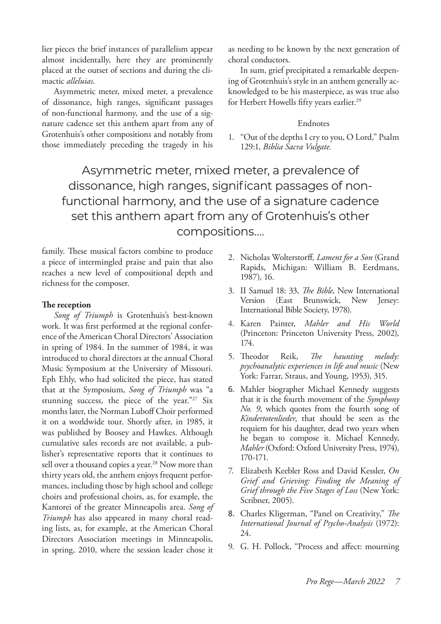lier pieces the brief instances of parallelism appear almost incidentally, here they are prominently placed at the outset of sections and during the climactic *alleluias*.

Asymmetric meter, mixed meter, a prevalence of dissonance, high ranges, significant passages of non-functional harmony, and the use of a signature cadence set this anthem apart from any of Grotenhuis's other compositions and notably from those immediately preceding the tragedy in his as needing to be known by the next generation of choral conductors.

In sum, grief precipitated a remarkable deepening of Grotenhuis's style in an anthem generally acknowledged to be his masterpiece, as was true also for Herbert Howells fifty years earlier.<sup>29</sup>

#### Endnotes

1. "Out of the depths I cry to you, O Lord," Psalm 129:1, *Biblia Sacra Vulgate.*

Asymmetric meter, mixed meter, a prevalence of dissonance, high ranges, significant passages of nonfunctional harmony, and the use of a signature cadence set this anthem apart from any of Grotenhuis's other compositions….

family. These musical factors combine to produce a piece of intermingled praise and pain that also reaches a new level of compositional depth and richness for the composer.

#### **The reception**

*Song of Triumph* is Grotenhuis's best-known work. It was first performed at the regional conference of the American Choral Directors' Association in spring of 1984. In the summer of 1984, it was introduced to choral directors at the annual Choral Music Symposium at the University of Missouri. Eph Ehly, who had solicited the piece, has stated that at the Symposium, *Song of Triumph* was "a stunning success, the piece of the year."27 Six months later, the Norman Luboff Choir performed it on a worldwide tour. Shortly after, in 1985, it was published by Boosey and Hawkes. Although cumulative sales records are not available, a publisher's representative reports that it continues to sell over a thousand copies a year.<sup>28</sup> Now more than thirty years old, the anthem enjoys frequent performances, including those by high school and college choirs and professional choirs, as, for example, the Kantorei of the greater Minneapolis area. *Song of Triumph* has also appeared in many choral reading lists, as, for example, at the American Choral Directors Association meetings in Minneapolis, in spring, 2010, where the session leader chose it

- 2. Nicholas Wolterstorff*, Lament for a Son* (Grand Rapids, Michigan: William B. Eerdmans, 1987), 16.
- 3. II Samuel 18: 33, *The Bible*, New International Version (East Brunswick, New Jersey: International Bible Society, 1978).
- 4. Karen Painter, *Mahler and His World* (Princeton: Princeton University Press, 2002), 174.
- 5. Theodor Reik, *The haunting melody: psychoanalytic experiences in life and music* (New York: Farrar, Straus, and Young, 1953), 315.
- 6. Mahler biographer Michael Kennedy suggests that it is the fourth movement of the *Symphony No. 9*, which quotes from the fourth song of *Kindertotenlieder*, that should be seen as the requiem for his daughter, dead two years when he began to compose it. Michael Kennedy, *Mahler* (Oxford: Oxford University Press, 1974), 170-171.
- 7. Elizabeth Keebler Ross and David Kessler, *On Grief and Grieving: Finding the Meaning of Grief through the Five Stages of Loss* (New York: Scribner, 2005).
- 8. Charles Kligerman, "Panel on Creativity," *The International Journal of Psycho-Analysis* (1972): 24.
- 9. G. H. Pollock, "Process and affect: mourning